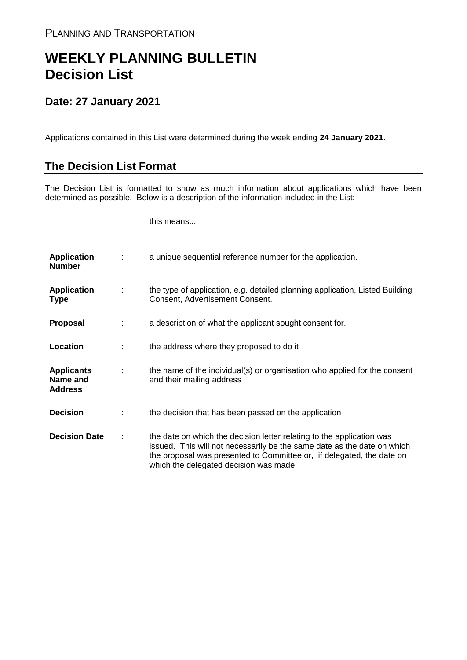## **WEEKLY PLANNING BULLETIN Decision List**

## **Date: 27 January 2021**

Applications contained in this List were determined during the week ending **24 January 2021**.

## **The Decision List Format**

The Decision List is formatted to show as much information about applications which have been determined as possible. Below is a description of the information included in the List:

this means...

| <b>Application</b><br><b>Number</b>             |   | a unique sequential reference number for the application.                                                                                                                                                                                                           |
|-------------------------------------------------|---|---------------------------------------------------------------------------------------------------------------------------------------------------------------------------------------------------------------------------------------------------------------------|
| <b>Application</b><br><b>Type</b>               | ÷ | the type of application, e.g. detailed planning application, Listed Building<br>Consent, Advertisement Consent.                                                                                                                                                     |
| <b>Proposal</b>                                 |   | a description of what the applicant sought consent for.                                                                                                                                                                                                             |
| Location                                        |   | the address where they proposed to do it                                                                                                                                                                                                                            |
| <b>Applicants</b><br>Name and<br><b>Address</b> | ÷ | the name of the individual(s) or organisation who applied for the consent<br>and their mailing address                                                                                                                                                              |
| <b>Decision</b>                                 |   | the decision that has been passed on the application                                                                                                                                                                                                                |
| <b>Decision Date</b>                            | ÷ | the date on which the decision letter relating to the application was<br>issued. This will not necessarily be the same date as the date on which<br>the proposal was presented to Committee or, if delegated, the date on<br>which the delegated decision was made. |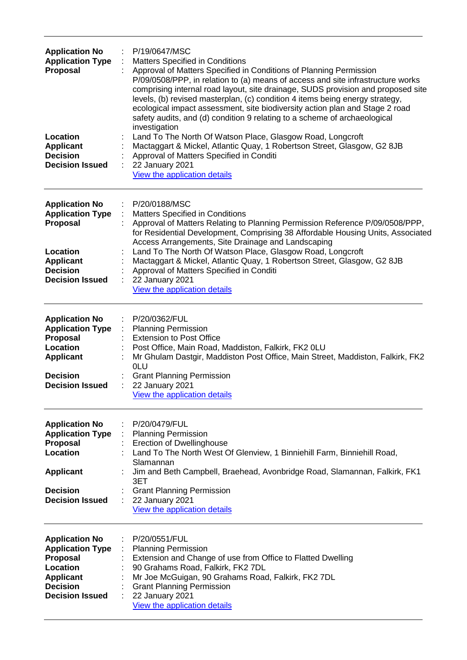| <b>Application No</b><br><b>Application Type</b><br>Proposal                                                                              | P/19/0647/MSC<br><b>Matters Specified in Conditions</b><br>Approval of Matters Specified in Conditions of Planning Permission<br>P/09/0508/PPP, in relation to (a) means of access and site infrastructure works<br>comprising internal road layout, site drainage, SUDS provision and proposed site<br>levels, (b) revised masterplan, (c) condition 4 items being energy strategy,<br>ecological impact assessment, site biodiversity action plan and Stage 2 road<br>safety audits, and (d) condition 9 relating to a scheme of archaeological<br>investigation |
|-------------------------------------------------------------------------------------------------------------------------------------------|--------------------------------------------------------------------------------------------------------------------------------------------------------------------------------------------------------------------------------------------------------------------------------------------------------------------------------------------------------------------------------------------------------------------------------------------------------------------------------------------------------------------------------------------------------------------|
| Location<br><b>Applicant</b><br><b>Decision</b><br><b>Decision Issued</b>                                                                 | Land To The North Of Watson Place, Glasgow Road, Longcroft<br>Mactaggart & Mickel, Atlantic Quay, 1 Robertson Street, Glasgow, G2 8JB<br>Approval of Matters Specified in Conditi<br>22 January 2021<br>View the application details                                                                                                                                                                                                                                                                                                                               |
| <b>Application No</b><br><b>Application Type</b><br>Proposal<br>Location<br><b>Applicant</b><br><b>Decision</b><br><b>Decision Issued</b> | P/20/0188/MSC<br>÷<br>Matters Specified in Conditions<br>Approval of Matters Relating to Planning Permission Reference P/09/0508/PPP,<br>for Residential Development, Comprising 38 Affordable Housing Units, Associated<br>Access Arrangements, Site Drainage and Landscaping<br>Land To The North Of Watson Place, Glasgow Road, Longcroft<br>Mactaggart & Mickel, Atlantic Quay, 1 Robertson Street, Glasgow, G2 8JB<br>Approval of Matters Specified in Conditi<br>22 January 2021<br>View the application details                                             |
| <b>Application No</b><br><b>Application Type</b><br>Proposal<br>Location<br><b>Applicant</b><br><b>Decision</b><br><b>Decision Issued</b> | P/20/0362/FUL<br><b>Planning Permission</b><br><b>Extension to Post Office</b><br>Post Office, Main Road, Maddiston, Falkirk, FK2 0LU<br>Mr Ghulam Dastgir, Maddiston Post Office, Main Street, Maddiston, Falkirk, FK2<br>0LU<br><b>Grant Planning Permission</b><br>22 January 2021<br>View the application details                                                                                                                                                                                                                                              |
| <b>Application No</b><br><b>Application Type</b><br>Proposal<br>Location<br><b>Applicant</b><br><b>Decision</b><br><b>Decision Issued</b> | P/20/0479/FUL<br><b>Planning Permission</b><br><b>Erection of Dwellinghouse</b><br>: Land To The North West Of Glenview, 1 Binniehill Farm, Binniehill Road,<br>Slamannan<br>Jim and Beth Campbell, Braehead, Avonbridge Road, Slamannan, Falkirk, FK1<br>3ET<br><b>Grant Planning Permission</b><br>22 January 2021<br>÷<br>View the application details                                                                                                                                                                                                          |
| <b>Application No</b><br><b>Application Type</b><br>Proposal<br>Location<br><b>Applicant</b><br><b>Decision</b><br><b>Decision Issued</b> | P/20/0551/FUL<br><b>Planning Permission</b><br>Extension and Change of use from Office to Flatted Dwelling<br>90 Grahams Road, Falkirk, FK2 7DL<br>Mr Joe McGuigan, 90 Grahams Road, Falkirk, FK2 7DL<br><b>Grant Planning Permission</b><br>22 January 2021<br>View the application details                                                                                                                                                                                                                                                                       |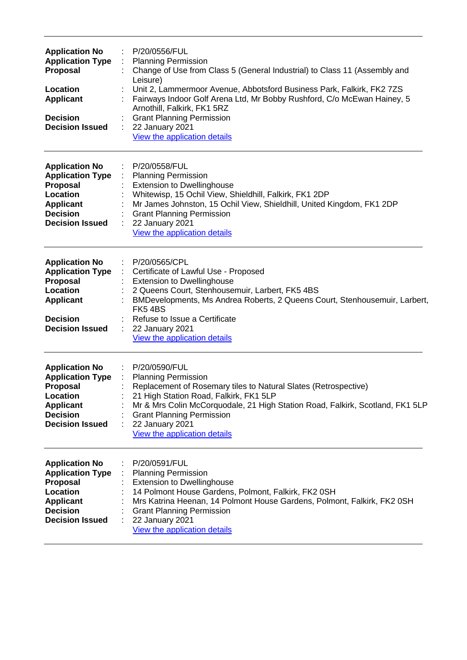| <b>Application No</b><br><b>Application Type</b><br><b>Proposal</b><br>Location<br><b>Applicant</b><br><b>Decision</b><br><b>Decision Issued</b> | P/20/0556/FUL<br><b>Planning Permission</b><br>Change of Use from Class 5 (General Industrial) to Class 11 (Assembly and<br>Leisure)<br>Unit 2, Lammermoor Avenue, Abbotsford Business Park, Falkirk, FK2 7ZS<br>Fairways Indoor Golf Arena Ltd, Mr Bobby Rushford, C/o McEwan Hainey, 5<br>Arnothill, Falkirk, FK1 5RZ<br><b>Grant Planning Permission</b><br>22 January 2021<br>View the application details |
|--------------------------------------------------------------------------------------------------------------------------------------------------|----------------------------------------------------------------------------------------------------------------------------------------------------------------------------------------------------------------------------------------------------------------------------------------------------------------------------------------------------------------------------------------------------------------|
| <b>Application No</b><br><b>Application Type</b><br><b>Proposal</b><br>Location<br><b>Applicant</b><br><b>Decision</b><br><b>Decision Issued</b> | P/20/0558/FUL<br><b>Planning Permission</b><br><b>Extension to Dwellinghouse</b><br>Whitewisp, 15 Ochil View, Shieldhill, Falkirk, FK1 2DP<br>Mr James Johnston, 15 Ochil View, Shieldhill, United Kingdom, FK1 2DP<br><b>Grant Planning Permission</b><br>22 January 2021<br>View the application details                                                                                                     |
| <b>Application No</b><br><b>Application Type</b><br><b>Proposal</b><br>Location<br><b>Applicant</b><br><b>Decision</b><br><b>Decision Issued</b> | P/20/0565/CPL<br>÷<br>Certificate of Lawful Use - Proposed<br>÷<br><b>Extension to Dwellinghouse</b><br>2 Queens Court, Stenhousemuir, Larbert, FK5 4BS<br>BMDevelopments, Ms Andrea Roberts, 2 Queens Court, Stenhousemuir, Larbert,<br>FK54BS<br>Refuse to Issue a Certificate<br>22 January 2021<br>÷<br>View the application details                                                                       |
| <b>Application No</b><br><b>Application Type</b><br><b>Proposal</b><br>Location<br><b>Applicant</b><br><b>Decision</b><br><b>Decision Issued</b> | P/20/0590/FUL<br><b>Planning Permission</b><br>Replacement of Rosemary tiles to Natural Slates (Retrospective)<br>21 High Station Road, Falkirk, FK1 5LP<br>Mr & Mrs Colin McCorquodale, 21 High Station Road, Falkirk, Scotland, FK1 5LP<br><b>Grant Planning Permission</b><br>22 January 2021<br>View the application details                                                                               |
| <b>Application No</b><br><b>Application Type</b><br>Proposal<br>Location<br><b>Applicant</b><br><b>Decision</b><br><b>Decision Issued</b>        | P/20/0591/FUL<br><b>Planning Permission</b><br><b>Extension to Dwellinghouse</b><br>14 Polmont House Gardens, Polmont, Falkirk, FK2 0SH<br>Mrs Katrina Heenan, 14 Polmont House Gardens, Polmont, Falkirk, FK2 0SH<br><b>Grant Planning Permission</b><br>22 January 2021<br>View the application details                                                                                                      |